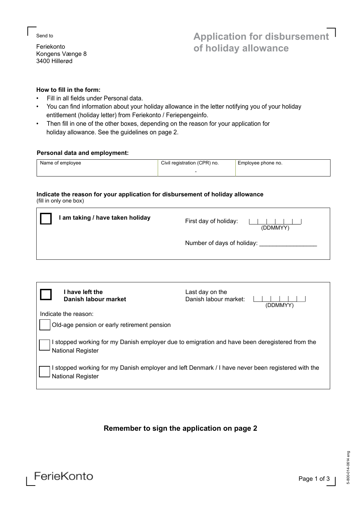### ∟Send to

Feriekonto Kongens Vænge 8 3400 Hillerød

## **How to fill in the form:**

- Fill in all fields under Personal data.
- You can find information about your holiday allowance in the letter notifying you of your holiday entitlement (holiday letter) from Feriekonto / Feriepengeinfo.
- Then fill in one of the other boxes, depending on the reason for your application for holiday allowance. See the guidelines on page 2.

## **Personal data and employment:**

| Name of employee | Civil registration (CPR) no. | Employee phone no. |
|------------------|------------------------------|--------------------|
|                  |                              |                    |

## **Indicate the reason for your application for disbursement of holiday allowance** (fill in only one box)

| am taking / have taken holiday | First day of holiday:<br>(DDMMYY) |
|--------------------------------|-----------------------------------|
|                                | Number of days of holiday:        |

|                                                                                                                        | l have left the<br>Danish labour market | Last day on the<br>Danish labour market:<br>(DDMMYY) |  |
|------------------------------------------------------------------------------------------------------------------------|-----------------------------------------|------------------------------------------------------|--|
|                                                                                                                        | Indicate the reason:                    |                                                      |  |
| Old-age pension or early retirement pension                                                                            |                                         |                                                      |  |
| I stopped working for my Danish employer due to emigration and have been deregistered from the<br>National Register    |                                         |                                                      |  |
| I stopped working for my Danish employer and left Denmark / I have never been registered with the<br>National Register |                                         |                                                      |  |

# **Remember to sign the application on page 2**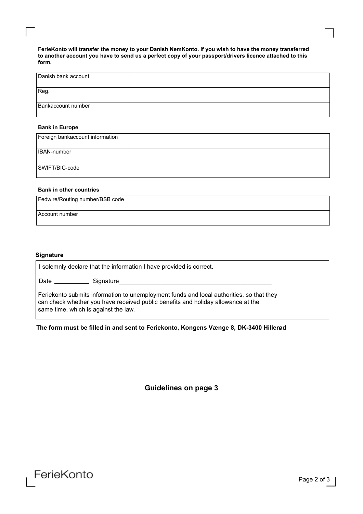**FerieKonto will transfer the money to your Danish NemKonto. If you wish to have the money transferred to another account you have to send us a perfect copy of your passport/drivers licence attached to this form.**

| Danish bank account |  |
|---------------------|--|
| Reg.                |  |
| Bankaccount number  |  |

## **Bank in Europe**

∟

| Foreign bankaccount information |  |
|---------------------------------|--|
| <b>IBAN-number</b>              |  |
| SWIFT/BIC-code                  |  |

## **Bank in other countries**

| Fedwire/Routing number/BSB code |  |
|---------------------------------|--|
| l Account number                |  |

## **Signature**

| solemnly declare that the information I have provided is correct.                                                                                                                                                    |  |
|----------------------------------------------------------------------------------------------------------------------------------------------------------------------------------------------------------------------|--|
| Date Signature                                                                                                                                                                                                       |  |
| Feriekonto submits information to unemployment funds and local authorities, so that they<br>can check whether you have received public benefits and holiday allowance at the<br>same time, which is against the law. |  |

**The form must be filled in and sent to Feriekonto, Kongens Vænge 8, DK-3400 Hillerød**

**Guidelines on page 3**



∟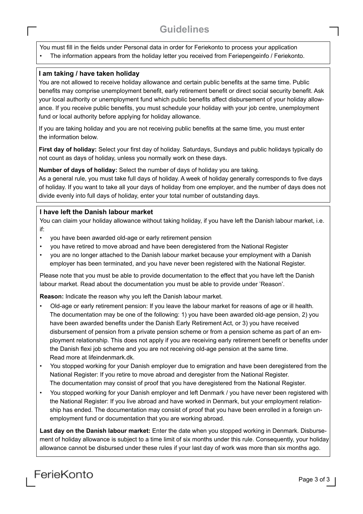# **Guidelines** ∟

You must fill in the fields under Personal data in order for Feriekonto to process your application

• The information appears from the holiday letter you received from Feriepengeinfo / Feriekonto.

## **I am taking / have taken holiday**

∟

You are not allowed to receive holiday allowance and certain public benefits at the same time. Public benefits may comprise unemployment benefit, early retirement benefit or direct social security benefit. Ask your local authority or unemployment fund which public benefits affect disbursement of your holiday allowance. If you receive public benefits, you must schedule your holiday with your job centre, unemployment fund or local authority before applying for holiday allowance.

If you are taking holiday and you are not receiving public benefits at the same time, you must enter the information below.

**First day of holiday:** Select your first day of holiday. Saturdays, Sundays and public holidays typically do not count as days of holiday, unless you normally work on these days.

**Number of days of holiday:** Select the number of days of holiday you are taking.

As a general rule, you must take full days of holiday. A week of holiday generally corresponds to five days of holiday. If you want to take all your days of holiday from one employer, and the number of days does not divide evenly into full days of holiday, enter your total number of outstanding days.

## **I have left the Danish labour market**

You can claim your holiday allowance without taking holiday, if you have left the Danish labour market, i.e. if:

- you have been awarded old-age or early retirement pension
- you have retired to move abroad and have been deregistered from the National Register
- you are no longer attached to the Danish labour market because your employment with a Danish employer has been terminated, and you have never been registered with the National Register.

Please note that you must be able to provide documentation to the effect that you have left the Danish labour market. Read about the documentation you must be able to provide under 'Reason'.

**Reason:** Indicate the reason why you left the Danish labour market.

- Old-age or early retirement pension: If you leave the labour market for reasons of age or ill health. The documentation may be one of the following: 1) you have been awarded old-age pension, 2) you have been awarded benefits under the Danish Early Retirement Act, or 3) you have received disbursement of pension from a private pension scheme or from a pension scheme as part of an em ployment relationship. This does not apply if you are receiving early retirement benefit or benefits under the Danish flexi job scheme and you are not receiving old-age pension at the same time. Read more at lifeindenmark.dk.
- You stopped working for your Danish employer due to emigration and have been deregistered from the National Register: If you retire to move abroad and deregister from the National Register. The documentation may consist of proof that you have deregistered from the National Register.
- You stopped working for your Danish employer and left Denmark / you have never been registered with the National Register: If you live abroad and have worked in Denmark, but your employment relation ship has ended. The documentation may consist of proof that you have been enrolled in a foreign un employment fund or documentation that you are working abroad.

**Last day on the Danish labour market:** Enter the date when you stopped working in Denmark. Disbursement of holiday allowance is subject to a time limit of six months under this rule. Consequently, your holiday allowance cannot be disbursed under these rules if your last day of work was more than six months ago.

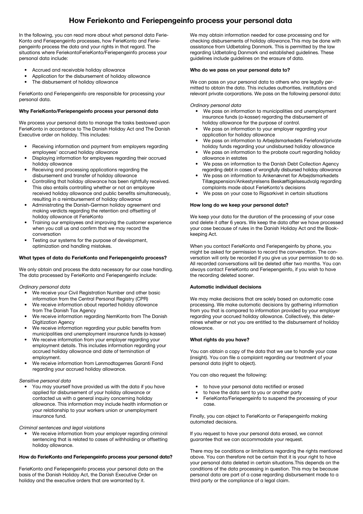## **How Feriekonto and Feriepengeinfo process your personal data**

In the following, you can read more about what personal data Ferie-Konto and Feriepengeinfo processes, how FerieKonto and Feriepengeinfo process the data and your rights in that regard. The situations where FeriekontoFerieKonto/Feriepengeinfo process your personal data include:

- Accrued and receivable holiday allowance
- Application for the disbursement of holiday allowance
- The disbursement of holiday allowance

FerieKonto and Feriepengeinfo are responsible for processing your personal data.

#### **Why FerieKonto/Feriepengeinfo process your personal data**

We process your personal data to manage the tasks bestowed upon FerieKonto in accordance to The Danish Holiday Act and The Danish Executive order on holiday. This includes:

- Receiving information and payment from employers regarding employees' accrued holiday allowance
- Displaying information for employees regarding their accrued holiday allowance
- Receiving and processing applications regarding the disbursement and transfer of holiday allowance
- Controlling that holiday allowance has been rightfully received. This also entails controlling whether or not an employee received holiday allowance and public benefits simultaneously, resulting in a reimbursement of holiday allowance
- Administrating the Danish-German holiday agreement and making verdicts regarding the retention and offsetting of holiday allowance at FerieKonto
- Training our employees and improving the customer experience when you call us and confirm that we may record the conversation
- Testing our systems for the purpose of development, optimization and handling mistakes.

#### **What types of data do FerieKonto and Feriepengeinfo process?**

We only obtain and process the data necessary for our case handling. The data processed by FerieKonto and Feriepengeinfo include:

#### Ordinary personal data

- We receive your Civil Registration Number and other basic information from the Central Personal Registry (CPR)
- We receive information about reported holiday allowance from The Danish Tax Agency
- We receive information regarding NemKonto from The Danish Digitization Agency
- We receive information regarding your public benefits from municipalities and unemployment insurance funds (a-kasser)
- We receive information from your employer regarding your employment details. This includes information regarding your accrued holiday allowance and date of termination of employment.
- We receive information from Lønmodtagernes Garanti Fond regarding your accrued holiday allowance.

#### Sensitive personal data

• You may yourself have provided us with the data if you have applied for disbursement of your holiday allowance or contacted us with a general inquiry concerning holiday allowance. This information may include health information or your relationship to your workers union or unemployment insurance fund.

#### Criminal sentences and legal violations

We receive information from your employer regarding criminal sentencing that is related to cases of withholding or offsetting holiday allowance.

#### **How do FerieKonto and Feriepengeinfo process your personal data?**

FerieKonto and Feriepengeinfo process your personal data on the basis of the Danish Holiday Act, the Danish Executive Order on holiday and the executive orders that are warranted by it.

We may obtain information needed for case processing and for checking disbursements of holiday allowance.This may be done with assistance from Udbetaling Danmark. This is permitted by the law regarding Udbetaling Danmark and established guidelines. These guidelines include guidelines on the erasure of data.

#### **Who do we pass on your personal data to?**

We can pass on your personal data to others who are legally permitted to obtain the data. This includes authorities, institutions and relevant private corporations. We pass on the following personal data:

Ordinary personal data

- We pass on information to municipalities and unemployment insurance funds (a-kasser) regarding the disbursement of holiday allowance for the purpose of control.
- We pass on information to your employer regarding your application for holiday allowance
- We pass on information to Arbejdsmarkedets Feriefond/private holiday funds regarding your undisbursed holiday allowance
- We pass on information to the probate court regarding holiday allowance in estates
- We pass on information to the Danish Debt Collection Agency regarding debt in cases of wrongfully disbursed holiday allowance
- We pass on information to Ankenævnet for Arbejdsmarkedets Tillægspension/Ankestyrelsens Beskæftigelsesudvalg regarding complaints made about FerieKonto's decisions
- We pass on your case to Rigsarkivet in certain situations

#### **How long do we keep your personal data?**

We keep your data for the duration of the processing of your case and delete it after 6 years. We keep the data after we have processed your case because of rules in the Danish Holiday Act and the Bookkeeping Act.

When you contact FerieKonto and Feriepengeinfo by phone, you might be asked for permission to record the conversation. The conversation will only be recorded if you give us your permission to do so. All recorded conversations will be deleted after two months. You can always contact FerieKonto and Feriepengeinfo, if you wish to have the recording deleted sooner.

#### **Automatic individual decisions**

We may make decisions that are solely based on automatic case processing. We make automatic decisions by gathering information from you that is compared to information provided by your employer regarding your accrued holiday allowance. Collectively, this determines whether or not you are entitled to the disbursement of holiday allowance.

#### **What rights do you have?**

You can obtain a copy of the data that we use to handle your case (insight). You can file a complaint regarding our treatment of your personal data (right to object).

You can also request the following:

- to have your personal data rectified or erased
- to have the data sent to you or another party
- FerieKonto/Feriepengeinfo to suspend the processing of your case.

Finally, you can object to FerieKonto or Feriepengeinfo making automated decisions.

If you request to have your personal data erased, we cannot guarantee that we can accommodate your request.

There may be conditions or limitations regarding the rights mentioned above. You can therefore not be certain that it is your right to have your personal data deleted in certain situations.This depends on the conditions of the data processing in question. This may be because personal data are part of a case regarding disbursement made to a third party or the compliance of a legal claim.